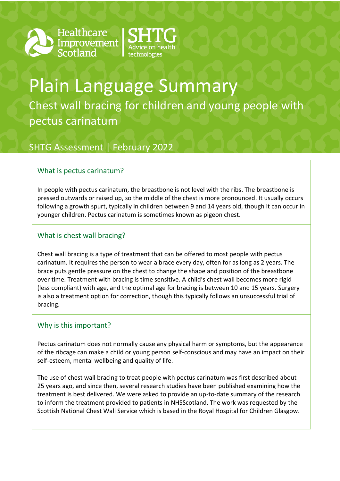





# Plain Language Summary Chest wall bracing for children and young people with pectus carinatum

# SHTG Assessment | February 2022

## What is pectus carinatum?

In people with pectus carinatum, the breastbone is not level with the ribs. The breastbone is pressed outwards or raised up, so the middle of the chest is more pronounced. It usually occurs following a growth spurt, typically in children between 9 and 14 years old, though it can occur in younger children. Pectus carinatum is sometimes known as pigeon chest.

### What is chest wall bracing?

Chest wall bracing is a type of treatment that can be offered to most people with pectus carinatum. It requires the person to wear a brace every day, often for as long as 2 years. The brace puts gentle pressure on the chest to change the shape and position of the breastbone over time. Treatment with bracing is time sensitive. A child's chest wall becomes more rigid (less compliant) with age, and the optimal age for bracing is between 10 and 15 years. Surgery is also a treatment option for correction, though this typically follows an unsuccessful trial of bracing.

#### Why is this important?

Pectus carinatum does not normally cause any physical harm or symptoms, but the appearance of the ribcage can make a child or young person self-conscious and may have an impact on their self-esteem, mental wellbeing and quality of life.

The use of chest wall bracing to treat people with pectus carinatum was first described about 25 years ago, and since then, several research studies have been published examining how the treatment is best delivered. We were asked to provide an up-to-date summary of the research to inform the treatment provided to patients in NHSScotland. The work was requested by the Scottish National Chest Wall Service which is based in the Royal Hospital for Children Glasgow.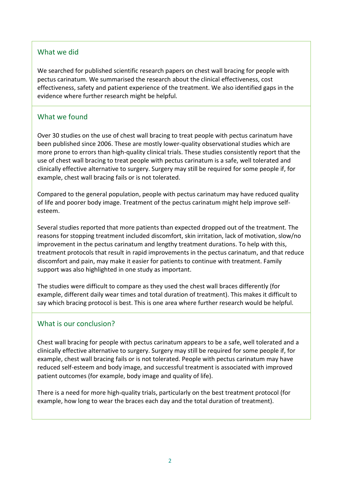#### What we did

We searched for published scientific research papers on chest wall bracing for people with pectus carinatum. We summarised the research about the clinical effectiveness, cost effectiveness, safety and patient experience of the treatment. We also identified gaps in the evidence where further research might be helpful.

#### What we found

Over 30 studies on the use of chest wall bracing to treat people with pectus carinatum have been published since 2006. These are mostly lower-quality observational studies which are more prone to errors than high-quality clinical trials. These studies consistently report that the use of chest wall bracing to treat people with pectus carinatum is a safe, well tolerated and clinically effective alternative to surgery. Surgery may still be required for some people if, for example, chest wall bracing fails or is not tolerated.

Compared to the general population, people with pectus carinatum may have reduced quality of life and poorer body image. Treatment of the pectus carinatum might help improve selfesteem.

Several studies reported that more patients than expected dropped out of the treatment. The reasons for stopping treatment included discomfort, skin irritation, lack of motivation, slow/no improvement in the pectus carinatum and lengthy treatment durations. To help with this, treatment protocols that result in rapid improvements in the pectus carinatum, and that reduce discomfort and pain, may make it easier for patients to continue with treatment. Family support was also highlighted in one study as important.

The studies were difficult to compare as they used the chest wall braces differently (for example, different daily wear times and total duration of treatment). This makes it difficult to say which bracing protocol is best. This is one area where further research would be helpful.

#### What is our conclusion?

Chest wall bracing for people with pectus carinatum appears to be a safe, well tolerated and a clinically effective alternative to surgery. Surgery may still be required for some people if, for example, chest wall bracing fails or is not tolerated. People with pectus carinatum may have reduced self-esteem and body image, and successful treatment is associated with improved patient outcomes (for example, body image and quality of life).

There is a need for more high-quality trials, particularly on the best treatment protocol (for example, how long to wear the braces each day and the total duration of treatment).